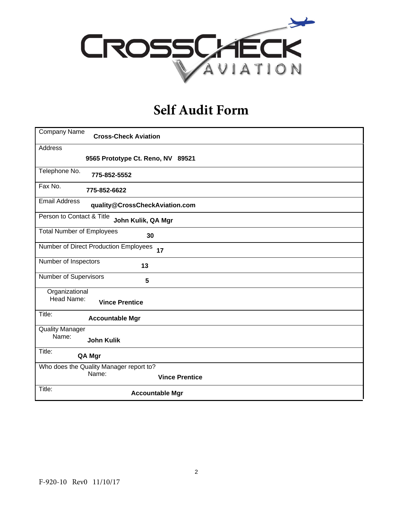

# **Self Audit Form**

| Company Name<br><b>Cross-Check Aviation</b>            |
|--------------------------------------------------------|
| Address                                                |
| 9565 Prototype Ct. Reno, NV 89521                      |
| Telephone No.<br>775-852-5552                          |
| Fax No.<br>775-852-6622                                |
| <b>Email Address</b><br>quality@CrossCheckAviation.com |
| Person to Contact & Title<br>John Kulik, QA Mgr        |
| <b>Total Number of Employees</b><br>30                 |
| Number of Direct Production Employees<br>17            |
| Number of Inspectors<br>13                             |
| Number of Supervisors<br>5                             |
| Organizational<br>Head Name:<br><b>Vince Prentice</b>  |
| Title:<br><b>Accountable Mgr</b>                       |
| <b>Quality Manager</b><br>Name:<br><b>John Kulik</b>   |
| Title:<br>QA Mgr                                       |
| Who does the Quality Manager report to?                |
| Name:<br><b>Vince Prentice</b>                         |
| Title:<br><b>Accountable Mgr</b>                       |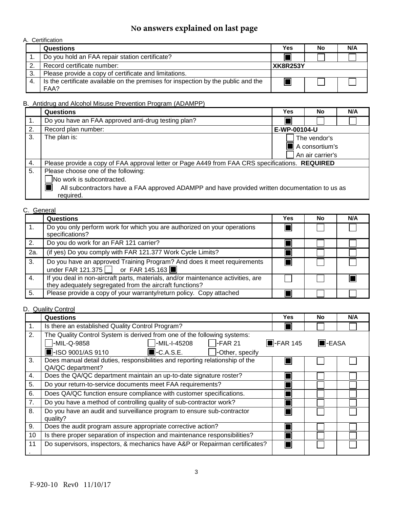# **No answers explained on last page**

# A. Certification

|     | <b>Questions</b>                                                                          | Yes             | No | N/A |
|-----|-------------------------------------------------------------------------------------------|-----------------|----|-----|
|     | Do you hold an FAA repair station certificate?                                            |                 |    |     |
|     | Record certificate number:                                                                | <b>XK8R253Y</b> |    |     |
| -3. | Please provide a copy of certificate and limitations.                                     |                 |    |     |
|     | Is the certificate available on the premises for inspection by the public and the<br>FAA? |                 |    |     |

# B. Antidrug and Alcohol Misuse Prevention Program (ADAMPP)

|    | <b>Questions</b>                                                                                | Yes            | No               | N/A |  |
|----|-------------------------------------------------------------------------------------------------|----------------|------------------|-----|--|
| 1. | Do you have an FAA approved anti-drug testing plan?                                             |                |                  |     |  |
| 2. | Record plan number:                                                                             | E-WP-00104-U   |                  |     |  |
| 3. | The plan is:                                                                                    |                | The vendor's     |     |  |
|    |                                                                                                 | A consortium's |                  |     |  |
|    |                                                                                                 |                | An air carrier's |     |  |
| 4. | Please provide a copy of FAA approval letter or Page A449 from FAA CRS specifications. REQUIRED |                |                  |     |  |
| 5. | Please choose one of the following:                                                             |                |                  |     |  |
|    | No work is subcontracted.                                                                       |                |                  |     |  |
|    | All subcontractors have a FAA approved ADAMPP and have provided written documentation to us as  |                |                  |     |  |
|    | required.                                                                                       |                |                  |     |  |

# C. General

|     | <b>Questions</b>                                                                                                                            | Yes | No | N/A |
|-----|---------------------------------------------------------------------------------------------------------------------------------------------|-----|----|-----|
|     | Do you only perform work for which you are authorized on your operations<br>specifications?                                                 |     |    |     |
| 2.  | Do you do work for an FAR 121 carrier?                                                                                                      |     |    |     |
| 2a. | (if yes) Do you comply with FAR 121.377 Work Cycle Limits?                                                                                  |     |    |     |
| 3.  | Do you have an approved Training Program? And does it meet requirements<br>under FAR 121.375 or FAR 145.163                                 |     |    |     |
| 4.  | If you deal in non-aircraft parts, materials, and/or maintenance activities, are<br>they adequately segregated from the aircraft functions? |     |    |     |
| 5.  | Please provide a copy of your warranty/return policy. Copy attached                                                                         |     |    |     |

#### D. Quality Control

|    | Questions                                                                                          | Yes                     | <b>No</b>      | N/A |
|----|----------------------------------------------------------------------------------------------------|-------------------------|----------------|-----|
| 1. | Is there an established Quality Control Program?                                                   |                         |                |     |
| 2. | The Quality Control System is derived from one of the following systems:                           |                         |                |     |
|    | -MIL-Q-9858<br>-MIL-I-45208<br>$-FAR21$                                                            | $\blacksquare$ -FAR 145 | <b>I</b> -EASA |     |
|    | $\blacksquare$ -ISO 9001/AS 9110<br>$\blacksquare$ -C.A.S.E.<br>-Other, specify                    |                         |                |     |
| 3. | Does manual detail duties, responsibilities and reporting relationship of the<br>QA/QC department? |                         |                |     |
| 4. | Does the QA/QC department maintain an up-to-date signature roster?                                 |                         |                |     |
| 5. | Do your return-to-service documents meet FAA requirements?                                         |                         |                |     |
| 6. | Does QA/QC function ensure compliance with customer specifications.                                |                         |                |     |
| 7. | Do you have a method of controlling quality of sub-contractor work?                                |                         |                |     |
| 8. | Do you have an audit and surveillance program to ensure sub-contractor<br>quality?                 |                         |                |     |
| 9. | Does the audit program assure appropriate corrective action?                                       |                         |                |     |
| 10 | Is there proper separation of inspection and maintenance responsibilities?                         |                         |                |     |
| 11 | Do supervisors, inspectors, & mechanics have A&P or Repairman certificates?                        |                         |                |     |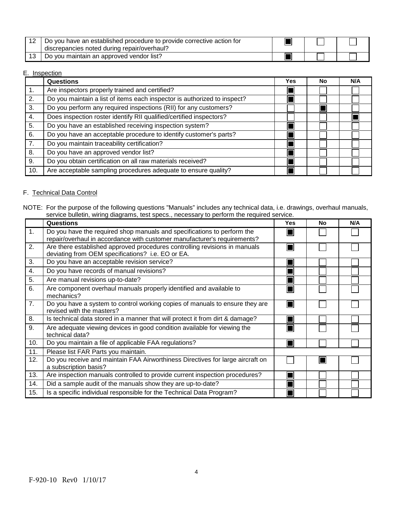| Do you have an established procedure to provide corrective action for<br>discrepancies noted during repair/overhaul? |  |  |
|----------------------------------------------------------------------------------------------------------------------|--|--|
| Do you maintain an approved vendor list?                                                                             |  |  |

#### E. Inspection

|                | <b>Questions</b>                                                         | Yes | No. | N/A |
|----------------|--------------------------------------------------------------------------|-----|-----|-----|
| $\mathbf{1}$ . | Are inspectors properly trained and certified?                           |     |     |     |
| 2.             | Do you maintain a list of items each inspector is authorized to inspect? |     |     |     |
| 3.             | Do you perform any required inspections (RII) for any customers?         |     |     |     |
| 4.             | Does inspection roster identify RII qualified/certified inspectors?      |     |     |     |
| 5.             | Do you have an established receiving inspection system?                  |     |     |     |
| 6.             | Do you have an acceptable procedure to identify customer's parts?        |     |     |     |
| 7.             | Do you maintain traceability certification?                              |     |     |     |
| 8.             | Do you have an approved vendor list?                                     |     |     |     |
| 9.             | Do you obtain certification on all raw materials received?               |     |     |     |
| 10.            | Are acceptable sampling procedures adequate to ensure quality?           |     |     |     |

#### F. Technical Data Control

|     | Questions                                                                                                                                           | <b>Yes</b> | No | N/A |
|-----|-----------------------------------------------------------------------------------------------------------------------------------------------------|------------|----|-----|
| 1.  | Do you have the required shop manuals and specifications to perform the<br>repair/overhaul in accordance with customer manufacturer's requirements? |            |    |     |
| 2.  | Are there established approved procedures controlling revisions in manuals<br>deviating from OEM specifications? i.e. EO or EA.                     |            |    |     |
| 3.  | Do you have an acceptable revision service?                                                                                                         |            |    |     |
| 4.  | Do you have records of manual revisions?                                                                                                            |            |    |     |
| 5.  | Are manual revisions up-to-date?                                                                                                                    |            |    |     |
| 6.  | Are component overhaul manuals properly identified and available to<br>mechanics?                                                                   |            |    |     |
| 7.  | Do you have a system to control working copies of manuals to ensure they are<br>revised with the masters?                                           |            |    |     |
| 8.  | Is technical data stored in a manner that will protect it from dirt & damage?                                                                       |            |    |     |
| 9.  | Are adequate viewing devices in good condition available for viewing the<br>technical data?                                                         |            |    |     |
| 10. | Do you maintain a file of applicable FAA regulations?                                                                                               |            |    |     |
| 11. | Please list FAR Parts you maintain.                                                                                                                 |            |    |     |
| 12. | Do you receive and maintain FAA Airworthiness Directives for large aircraft on<br>a subscription basis?                                             |            |    |     |
| 13. | Are inspection manuals controlled to provide current inspection procedures?                                                                         |            |    |     |
| 14. | Did a sample audit of the manuals show they are up-to-date?                                                                                         |            |    |     |
| 15. | Is a specific individual responsible for the Technical Data Program?                                                                                |            |    |     |

NOTE: For the purpose of the following questions "Manuals" includes any technical data, i.e. drawings, overhaul manuals, service bulletin, wiring diagrams, test specs., necessary to perform the required service.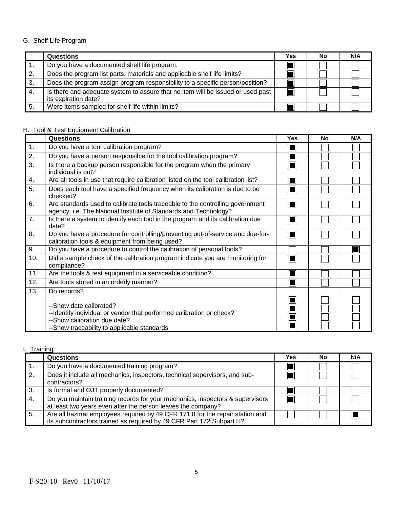# G. Shelf Life Program

|     | <b>Questions</b>                                                                                        | Yes | No | N/A |
|-----|---------------------------------------------------------------------------------------------------------|-----|----|-----|
|     | Do you have a documented shelf life program.                                                            |     |    |     |
| 2.  | Does the program list parts, materials and applicable shelf life limits?                                |     |    |     |
| 3.  | Does the program assign program responsibility to a specific person/position?                           |     |    |     |
| -4. | Is there and adequate system to assure that no item will be issued or used past<br>its expiration date? |     |    |     |
| 5.  | Were items sampled for shelf life within limits?                                                        |     |    |     |

# H. Tool & Test Equipment Calibration

|                | <b>Questions</b>                                                                                                                                                               | <b>Yes</b> | <b>No</b> | N/A |
|----------------|--------------------------------------------------------------------------------------------------------------------------------------------------------------------------------|------------|-----------|-----|
| $\mathbf{1}$ . | Do you have a tool calibration program?                                                                                                                                        |            |           |     |
| 2.             | Do you have a person responsible for the tool calibration program?                                                                                                             |            |           |     |
| 3.             | Is there a backup person responsible for the program when the primary<br>individual is out?                                                                                    |            |           |     |
| 4.             | Are all tools in use that require calibration listed on the tool calibration list?                                                                                             |            |           |     |
| 5.             | Does each tool have a specified frequency when its calibration is due to be<br>checked?                                                                                        |            |           |     |
| 6.             | Are standards used to calibrate tools traceable to the controlling government<br>agency, i.e. The National Institute of Standards and Technology?                              | M          |           |     |
| 7.             | Is there a system to identify each tool in the program and its calibration due<br>date?                                                                                        |            |           |     |
| 8.             | Do you have a procedure for controlling/preventing out-of-service and due-for-<br>calibration tools & equipment from being used?                                               |            |           |     |
| 9.             | Do you have a procedure to control the calibration of personal tools?                                                                                                          |            |           |     |
| 10.            | Did a sample check of the calibration program indicate you are monitoring for<br>compliance?                                                                                   |            |           |     |
| 11.            | Are the tools & test equipment in a serviceable condition?                                                                                                                     |            |           |     |
| 12.            | Are tools stored in an orderly manner?                                                                                                                                         |            |           |     |
| 13.            | Do records?                                                                                                                                                                    |            |           |     |
|                | --Show date calibrated?<br>--Identify individual or vendor that performed calibration or check?<br>--Show calibration due date?<br>--Show traceability to applicable standards |            |           |     |

### I. Training

|     | <b>Questions</b>                                                                                                                                     | <b>Yes</b> | No | N/A |
|-----|------------------------------------------------------------------------------------------------------------------------------------------------------|------------|----|-----|
|     | Do you have a documented training program?                                                                                                           |            |    |     |
|     | Does it include all mechanics, inspectors, technical supervisors, and sub-<br>contractors?                                                           |            |    |     |
| -3. | Is formal and OJT properly documented?                                                                                                               |            |    |     |
| 4.  | Do you maintain training records for your mechanics, inspectors & supervisors<br>at least two years even after the person leaves the company?        |            |    |     |
| 5.  | Are all hazmat employees required by 49 CFR 171.8 for the repair station and<br>its subcontractors trained as required by 49 CFR Part 172 Subpart H? |            |    |     |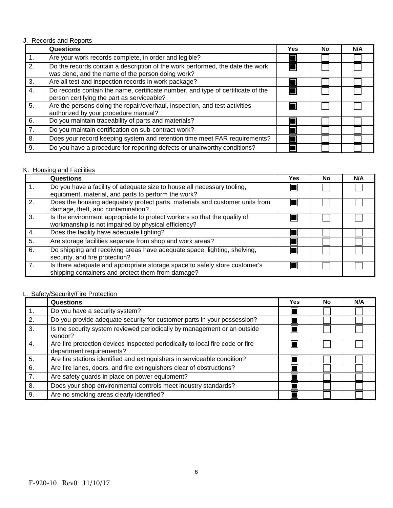#### J. Records and Reports

|    | <b>Questions</b>                                                                                                                  | Yes | No | N/A |
|----|-----------------------------------------------------------------------------------------------------------------------------------|-----|----|-----|
| 1. | Are your work records complete, in order and legible?                                                                             |     |    |     |
| 2. | Do the records contain a description of the work performed, the date the work<br>was done, and the name of the person doing work? |     |    |     |
| 3. | Are all test and inspection records in work package?                                                                              |     |    |     |
| 4. | Do records contain the name, certificate number, and type of certificate of the<br>person certifying the part as serviceable?     |     |    |     |
| 5. | Are the persons doing the repair/overhaul, inspection, and test activities<br>authorized by your procedure manual?                |     |    |     |
| 6. | Do you maintain traceability of parts and materials?                                                                              |     |    |     |
| 7. | Do you maintain certification on sub-contract work?                                                                               |     |    |     |
| 8. | Does your record keeping system and retention time meet FAR requirements?                                                         |     |    |     |
| 9. | Do you have a procedure for reporting defects or unairworthy conditions?                                                          |     |    |     |

# K. Housing and Facilities

|    | Questions                                                                                                                       | Yes | <b>No</b> | N/A |
|----|---------------------------------------------------------------------------------------------------------------------------------|-----|-----------|-----|
|    | Do you have a facility of adequate size to house all necessary tooling,<br>equipment, material, and parts to perform the work?  |     |           |     |
| 2. | Does the housing adequately protect parts, materials and customer units from<br>damage, theft, and contamination?               |     |           |     |
| 3. | Is the environment appropriate to protect workers so that the quality of<br>workmanship is not impaired by physical efficiency? |     |           |     |
| 4. | Does the facility have adequate lighting?                                                                                       |     |           |     |
| 5. | Are storage facilities separate from shop and work areas?                                                                       |     |           |     |
| 6. | Do shipping and receiving areas have adequate space, lighting, shelving,<br>security, and fire protection?                      |     |           |     |
| 7. | Is there adequate and appropriate storage space to safely store customer's<br>shipping containers and protect them from damage? |     |           |     |

# L. Safety/Security/Fire Protection

|                | <b>Questions</b>                                                                                          | Yes | <b>No</b> | N/A |
|----------------|-----------------------------------------------------------------------------------------------------------|-----|-----------|-----|
| $\mathbf{1}$ . | Do you have a security system?                                                                            |     |           |     |
| 2.             | Do you provide adequate security for customer parts in your possession?                                   |     |           |     |
| 3.             | Is the security system reviewed periodically by management or an outside<br>vendor?                       |     |           |     |
| 4.             | Are fire protection devices inspected periodically to local fire code or fire<br>department requirements? |     |           |     |
| 5.             | Are fire stations identified and extinguishers in serviceable condition?                                  |     |           |     |
| 6.             | Are fire lanes, doors, and fire extinguishers clear of obstructions?                                      |     |           |     |
| 7.             | Are safety guards in place on power equipment?                                                            |     |           |     |
| 8.             | Does your shop environmental controls meet industry standards?                                            |     |           |     |
| 9.             | Are no smoking areas clearly identified?                                                                  |     |           |     |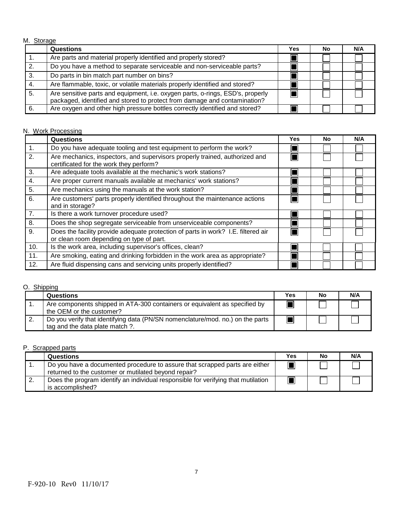M. Storage

|    | <b>Questions</b>                                                                                                                                            | Yes | No | N/A |
|----|-------------------------------------------------------------------------------------------------------------------------------------------------------------|-----|----|-----|
|    | Are parts and material properly identified and properly stored?                                                                                             |     |    |     |
| 2. | Do you have a method to separate serviceable and non-serviceable parts?                                                                                     |     |    |     |
| 3. | Do parts in bin match part number on bins?                                                                                                                  |     |    |     |
| 4. | Are flammable, toxic, or volatile materials properly identified and stored?                                                                                 |     |    |     |
| 5. | Are sensitive parts and equipment, i.e. oxygen parts, o-rings, ESD's, properly<br>packaged, identified and stored to protect from damage and contamination? |     |    |     |
| 6. | Are oxygen and other high pressure bottles correctly identified and stored?                                                                                 |     |    |     |

#### N. Work Processing

|                | <b>Questions</b>                                                                                                              | Yes | <b>No</b> | N/A |
|----------------|-------------------------------------------------------------------------------------------------------------------------------|-----|-----------|-----|
| $\mathbf{1}$ . | Do you have adequate tooling and test equipment to perform the work?                                                          |     |           |     |
| 2.             | Are mechanics, inspectors, and supervisors properly trained, authorized and<br>certificated for the work they perform?        |     |           |     |
| 3.             | Are adequate tools available at the mechanic's work stations?                                                                 |     |           |     |
| 4.             | Are proper current manuals available at mechanics' work stations?                                                             |     |           |     |
| 5.             | Are mechanics using the manuals at the work station?                                                                          |     |           |     |
| 6.             | Are customers' parts properly identified throughout the maintenance actions<br>and in storage?                                |     |           |     |
| 7.             | Is there a work turnover procedure used?                                                                                      |     |           |     |
| 8.             | Does the shop segregate serviceable from unserviceable components?                                                            |     |           |     |
| 9.             | Does the facility provide adequate protection of parts in work? I.E. filtered air<br>or clean room depending on type of part. |     |           |     |
| 10.            | Is the work area, including supervisor's offices, clean?                                                                      |     |           |     |
| 11.            | Are smoking, eating and drinking forbidden in the work area as appropriate?                                                   |     |           |     |
| 12.            | Are fluid dispensing cans and servicing units properly identified?                                                            |     |           |     |

# O. Shipping

|    | Questions                                                                                                        | Yes | No | N/A |
|----|------------------------------------------------------------------------------------------------------------------|-----|----|-----|
|    | Are components shipped in ATA-300 containers or equivalent as specified by<br>the OEM or the customer?           |     |    |     |
| z. | Do you verify that identifying data (PN/SN nomenclature/mod. no.) on the parts<br>tag and the data plate match?. |     |    |     |

#### P. Scrapped parts

|    | <b>Questions</b>                                                                                                                    | <b>Yes</b> | No | N/A |
|----|-------------------------------------------------------------------------------------------------------------------------------------|------------|----|-----|
|    | Do you have a documented procedure to assure that scrapped parts are either<br>returned to the customer or mutilated beyond repair? |            |    |     |
| 2. | Does the program identify an individual responsible for verifying that mutilation<br>is accomplished?                               |            |    |     |